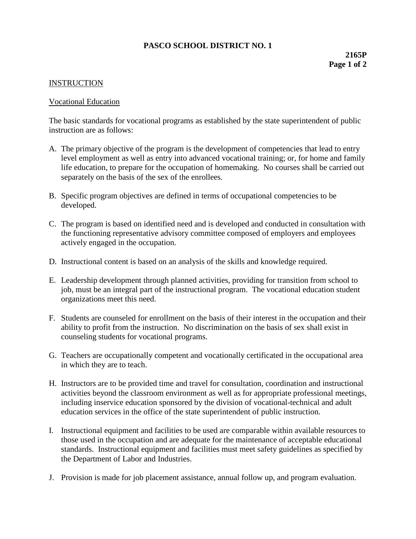## **PASCO SCHOOL DISTRICT NO. 1**

## **INSTRUCTION**

## Vocational Education

The basic standards for vocational programs as established by the state superintendent of public instruction are as follows:

- A. The primary objective of the program is the development of competencies that lead to entry level employment as well as entry into advanced vocational training; or, for home and family life education, to prepare for the occupation of homemaking. No courses shall be carried out separately on the basis of the sex of the enrollees.
- B. Specific program objectives are defined in terms of occupational competencies to be developed.
- C. The program is based on identified need and is developed and conducted in consultation with the functioning representative advisory committee composed of employers and employees actively engaged in the occupation.
- D. Instructional content is based on an analysis of the skills and knowledge required.
- E. Leadership development through planned activities, providing for transition from school to job, must be an integral part of the instructional program. The vocational education student organizations meet this need.
- F. Students are counseled for enrollment on the basis of their interest in the occupation and their ability to profit from the instruction. No discrimination on the basis of sex shall exist in counseling students for vocational programs.
- G. Teachers are occupationally competent and vocationally certificated in the occupational area in which they are to teach.
- H. Instructors are to be provided time and travel for consultation, coordination and instructional activities beyond the classroom environment as well as for appropriate professional meetings, including inservice education sponsored by the division of vocational-technical and adult education services in the office of the state superintendent of public instruction.
- I. Instructional equipment and facilities to be used are comparable within available resources to those used in the occupation and are adequate for the maintenance of acceptable educational standards. Instructional equipment and facilities must meet safety guidelines as specified by the Department of Labor and Industries.
- J. Provision is made for job placement assistance, annual follow up, and program evaluation.